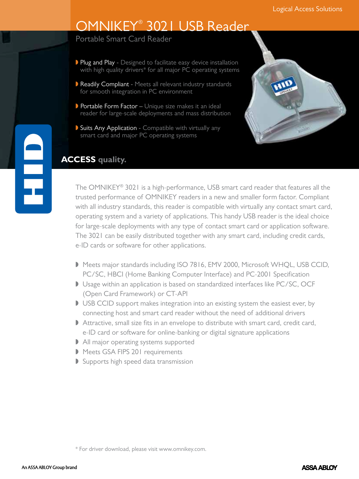# OMNIKEY® 3021 USB Reader

Portable Smart Card Reader

- Plug and Play Designed to facilitate easy device installation with high quality drivers\* for all major PC operating systems
- Readily Compliant Meets all relevant industry standards for smooth integration in PC environment
- Portable Form Factor Unique size makes it an ideal reader for large-scale deployments and mass distribution
- Suits Any Application Compatible with virtually any smart card and major PC operating systems



### **ACCESS quality.**

E<br>F

The OMNIKEY® 3021 is a high-performance, USB smart card reader that features all the trusted performance of OMNIKEY readers in a new and smaller form factor. Compliant with all industry standards, this reader is compatible with virtually any contact smart card, operating system and a variety of applications. This handy USB reader is the ideal choice for large-scale deployments with any type of contact smart card or application software. The 3021 can be easily distributed together with any smart card, including credit cards, e-ID cards or software for other applications.

- Meets major standards including ISO 7816, EMV 2000, Microsoft WHQL, USB CCID, PC/SC, HBCI (Home Banking Computer Interface) and PC-2001 Specification
- Usage within an application is based on standardized interfaces like PC/SC, OCF (Open Card Framework) or CT-API
- USB CCID support makes integration into an existing system the easiest ever, by connecting host and smart card reader without the need of additional drivers
- Attractive, small size fits in an envelope to distribute with smart card, credit card, e-ID card or software for online-banking or digital signature applications
- All major operating systems supported
- Meets GSA FIPS 201 requirements
- Supports high speed data transmission

<sup>\*</sup> For driver download, please visit www.omnikey.com.